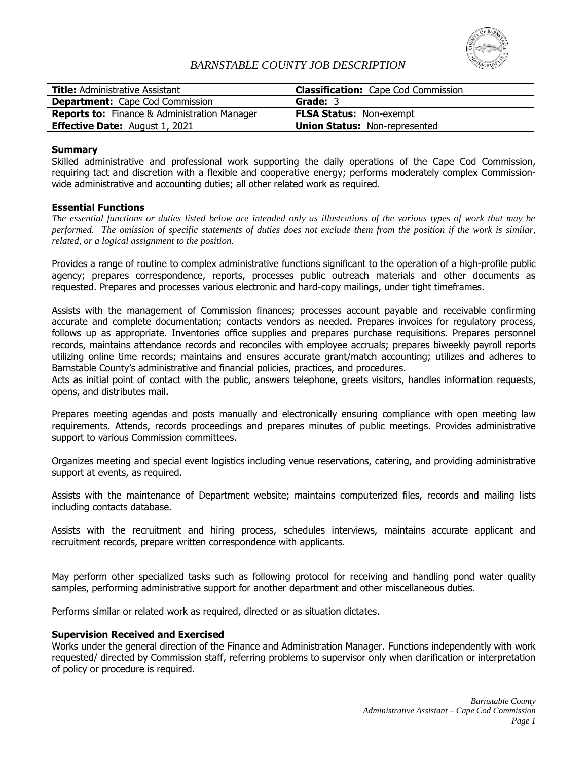

## *BARNSTABLE COUNTY JOB DESCRIPTION*

| <b>Title:</b> Administrative Assistant              | <b>Classification:</b> Cape Cod Commission |
|-----------------------------------------------------|--------------------------------------------|
| <b>Department:</b> Cape Cod Commission              | Grade: 3                                   |
| <b>Reports to:</b> Finance & Administration Manager | <b>FLSA Status: Non-exempt</b>             |
| <b>Effective Date:</b> August 1, 2021               | Union Status: Non-represented              |

## **Summary**

Skilled administrative and professional work supporting the daily operations of the Cape Cod Commission, requiring tact and discretion with a flexible and cooperative energy; performs moderately complex Commissionwide administrative and accounting duties; all other related work as required.

### **Essential Functions**

*The essential functions or duties listed below are intended only as illustrations of the various types of work that may be performed. The omission of specific statements of duties does not exclude them from the position if the work is similar, related, or a logical assignment to the position.*

Provides a range of routine to complex administrative functions significant to the operation of a high-profile public agency; prepares correspondence, reports, processes public outreach materials and other documents as requested. Prepares and processes various electronic and hard-copy mailings, under tight timeframes.

Assists with the management of Commission finances; processes account payable and receivable confirming accurate and complete documentation; contacts vendors as needed. Prepares invoices for regulatory process, follows up as appropriate. Inventories office supplies and prepares purchase requisitions. Prepares personnel records, maintains attendance records and reconciles with employee accruals; prepares biweekly payroll reports utilizing online time records; maintains and ensures accurate grant/match accounting; utilizes and adheres to Barnstable County's administrative and financial policies, practices, and procedures.

Acts as initial point of contact with the public, answers telephone, greets visitors, handles information requests, opens, and distributes mail.

Prepares meeting agendas and posts manually and electronically ensuring compliance with open meeting law requirements. Attends, records proceedings and prepares minutes of public meetings. Provides administrative support to various Commission committees.

Organizes meeting and special event logistics including venue reservations, catering, and providing administrative support at events, as required.

Assists with the maintenance of Department website; maintains computerized files, records and mailing lists including contacts database.

Assists with the recruitment and hiring process, schedules interviews, maintains accurate applicant and recruitment records, prepare written correspondence with applicants.

May perform other specialized tasks such as following protocol for receiving and handling pond water quality samples, performing administrative support for another department and other miscellaneous duties.

Performs similar or related work as required, directed or as situation dictates.

### **Supervision Received and Exercised**

Works under the general direction of the Finance and Administration Manager. Functions independently with work requested/ directed by Commission staff, referring problems to supervisor only when clarification or interpretation of policy or procedure is required.